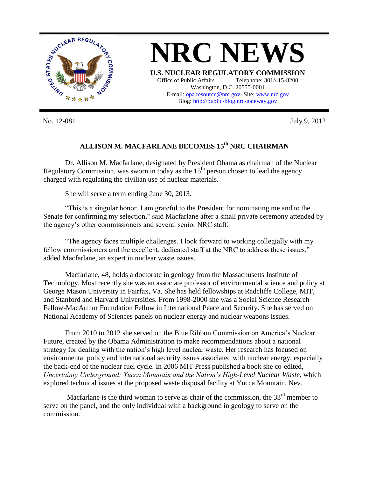

**NRC NEWS U.S. NUCLEAR REGULATORY COMMISSION** Office of Public Affairs Telephone: 301/415-8200 Washington, D.C. 20555-0001 E-mail: [opa.resource@nrc.gov](mailto:opa.resource@nrc.gov) Site: [www.nrc.gov](http://www.nrc.gov/) Blog[: http://public-blog.nrc-gateway.gov](http://public-blog.nrc-gateway.gov/)

No. 12-081 July 9, 2012

## **ALLISON M. MACFARLANE BECOMES 15th NRC CHAIRMAN**

Dr. Allison M. Macfarlane, designated by President Obama as chairman of the Nuclear Regulatory Commission, was sworn in today as the  $15<sup>th</sup>$  person chosen to lead the agency charged with regulating the civilian use of nuclear materials.

She will serve a term ending June 30, 2013.

"This is a singular honor. I am grateful to the President for nominating me and to the Senate for confirming my selection," said Macfarlane after a small private ceremony attended by the agency's other commissioners and several senior NRC staff.

"The agency faces multiple challenges. I look forward to working collegially with my fellow commissioners and the excellent, dedicated staff at the NRC to address these issues," added Macfarlane, an expert in nuclear waste issues.

Macfarlane, 48, holds a doctorate in geology from the Massachusetts Institute of Technology. Most recently she was an associate professor of environmental science and policy at George Mason University in Fairfax, Va. She has held fellowships at Radcliffe College, MIT, and Stanford and Harvard Universities. From 1998-2000 she was a Social Science Research Fellow-MacArthur Foundation Fellow in International Peace and Security. She has served on National Academy of Sciences panels on nuclear energy and nuclear weapons issues.

From 2010 to 2012 she served on the Blue Ribbon Commission on America's Nuclear Future, created by the Obama Administration to make recommendations about a national strategy for dealing with the nation's high level nuclear waste. Her research has focused on environmental policy and international security issues associated with nuclear energy, especially the back-end of the nuclear fuel cycle. In 2006 MIT Press published a book she co-edited, *Uncertainty Underground: Yucca Mountain and the Nation's High-Level Nuclear Waste,* which explored technical issues at the proposed waste disposal facility at Yucca Mountain, Nev.

Macfarlane is the third woman to serve as chair of the commission, the  $33<sup>rd</sup>$  member to serve on the panel, and the only individual with a background in geology to serve on the commission.